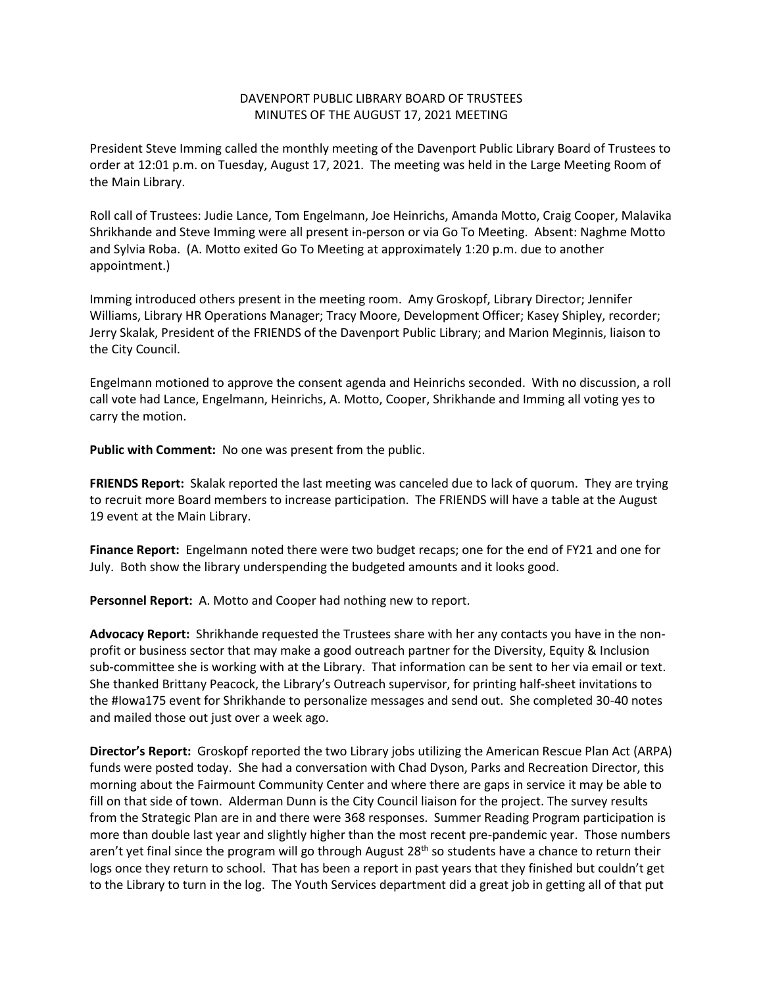## DAVENPORT PUBLIC LIBRARY BOARD OF TRUSTEES MINUTES OF THE AUGUST 17, 2021 MEETING

President Steve Imming called the monthly meeting of the Davenport Public Library Board of Trustees to order at 12:01 p.m. on Tuesday, August 17, 2021. The meeting was held in the Large Meeting Room of the Main Library.

Roll call of Trustees: Judie Lance, Tom Engelmann, Joe Heinrichs, Amanda Motto, Craig Cooper, Malavika Shrikhande and Steve Imming were all present in-person or via Go To Meeting. Absent: Naghme Motto and Sylvia Roba. (A. Motto exited Go To Meeting at approximately 1:20 p.m. due to another appointment.)

Imming introduced others present in the meeting room. Amy Groskopf, Library Director; Jennifer Williams, Library HR Operations Manager; Tracy Moore, Development Officer; Kasey Shipley, recorder; Jerry Skalak, President of the FRIENDS of the Davenport Public Library; and Marion Meginnis, liaison to the City Council.

Engelmann motioned to approve the consent agenda and Heinrichs seconded. With no discussion, a roll call vote had Lance, Engelmann, Heinrichs, A. Motto, Cooper, Shrikhande and Imming all voting yes to carry the motion.

**Public with Comment:** No one was present from the public.

**FRIENDS Report:** Skalak reported the last meeting was canceled due to lack of quorum. They are trying to recruit more Board members to increase participation. The FRIENDS will have a table at the August 19 event at the Main Library.

**Finance Report:** Engelmann noted there were two budget recaps; one for the end of FY21 and one for July. Both show the library underspending the budgeted amounts and it looks good.

**Personnel Report:** A. Motto and Cooper had nothing new to report.

**Advocacy Report:** Shrikhande requested the Trustees share with her any contacts you have in the nonprofit or business sector that may make a good outreach partner for the Diversity, Equity & Inclusion sub-committee she is working with at the Library. That information can be sent to her via email or text. She thanked Brittany Peacock, the Library's Outreach supervisor, for printing half-sheet invitations to the #Iowa175 event for Shrikhande to personalize messages and send out. She completed 30-40 notes and mailed those out just over a week ago.

**Director's Report:** Groskopf reported the two Library jobs utilizing the American Rescue Plan Act (ARPA) funds were posted today. She had a conversation with Chad Dyson, Parks and Recreation Director, this morning about the Fairmount Community Center and where there are gaps in service it may be able to fill on that side of town. Alderman Dunn is the City Council liaison for the project. The survey results from the Strategic Plan are in and there were 368 responses. Summer Reading Program participation is more than double last year and slightly higher than the most recent pre-pandemic year. Those numbers aren't yet final since the program will go through August 28<sup>th</sup> so students have a chance to return their logs once they return to school. That has been a report in past years that they finished but couldn't get to the Library to turn in the log. The Youth Services department did a great job in getting all of that put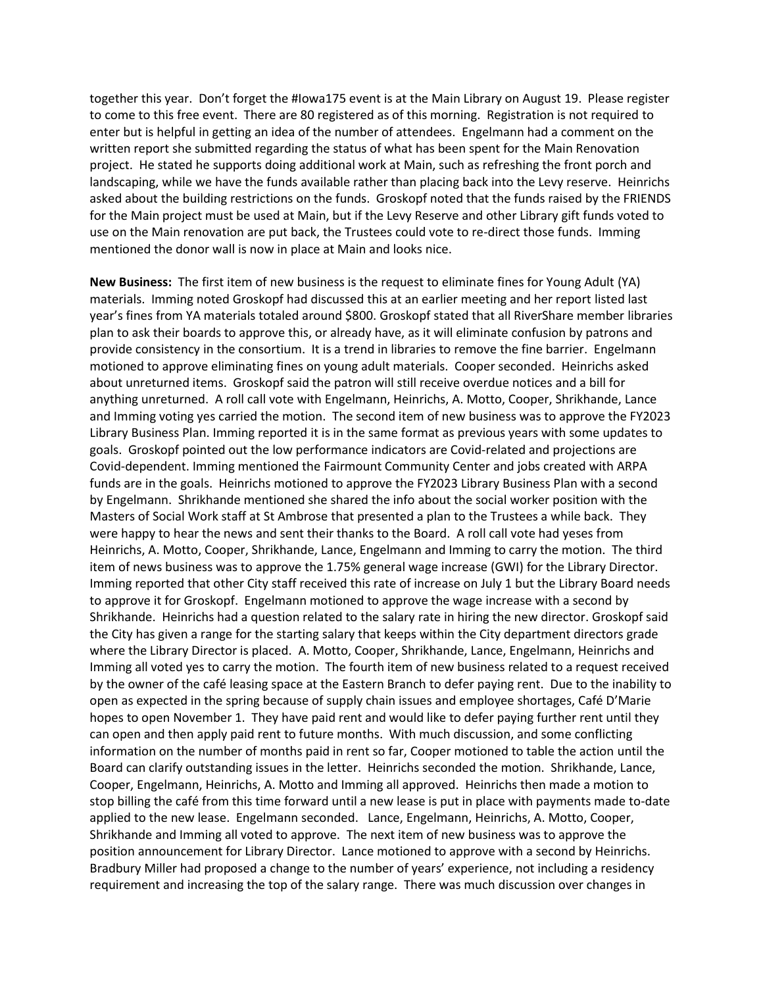together this year. Don't forget the #Iowa175 event is at the Main Library on August 19. Please register to come to this free event. There are 80 registered as of this morning. Registration is not required to enter but is helpful in getting an idea of the number of attendees. Engelmann had a comment on the written report she submitted regarding the status of what has been spent for the Main Renovation project. He stated he supports doing additional work at Main, such as refreshing the front porch and landscaping, while we have the funds available rather than placing back into the Levy reserve. Heinrichs asked about the building restrictions on the funds. Groskopf noted that the funds raised by the FRIENDS for the Main project must be used at Main, but if the Levy Reserve and other Library gift funds voted to use on the Main renovation are put back, the Trustees could vote to re-direct those funds. Imming mentioned the donor wall is now in place at Main and looks nice.

**New Business:** The first item of new business is the request to eliminate fines for Young Adult (YA) materials. Imming noted Groskopf had discussed this at an earlier meeting and her report listed last year's fines from YA materials totaled around \$800. Groskopf stated that all RiverShare member libraries plan to ask their boards to approve this, or already have, as it will eliminate confusion by patrons and provide consistency in the consortium. It is a trend in libraries to remove the fine barrier. Engelmann motioned to approve eliminating fines on young adult materials. Cooper seconded. Heinrichs asked about unreturned items. Groskopf said the patron will still receive overdue notices and a bill for anything unreturned. A roll call vote with Engelmann, Heinrichs, A. Motto, Cooper, Shrikhande, Lance and Imming voting yes carried the motion. The second item of new business was to approve the FY2023 Library Business Plan. Imming reported it is in the same format as previous years with some updates to goals. Groskopf pointed out the low performance indicators are Covid-related and projections are Covid-dependent. Imming mentioned the Fairmount Community Center and jobs created with ARPA funds are in the goals. Heinrichs motioned to approve the FY2023 Library Business Plan with a second by Engelmann. Shrikhande mentioned she shared the info about the social worker position with the Masters of Social Work staff at St Ambrose that presented a plan to the Trustees a while back. They were happy to hear the news and sent their thanks to the Board. A roll call vote had yeses from Heinrichs, A. Motto, Cooper, Shrikhande, Lance, Engelmann and Imming to carry the motion. The third item of news business was to approve the 1.75% general wage increase (GWI) for the Library Director. Imming reported that other City staff received this rate of increase on July 1 but the Library Board needs to approve it for Groskopf. Engelmann motioned to approve the wage increase with a second by Shrikhande. Heinrichs had a question related to the salary rate in hiring the new director. Groskopf said the City has given a range for the starting salary that keeps within the City department directors grade where the Library Director is placed. A. Motto, Cooper, Shrikhande, Lance, Engelmann, Heinrichs and Imming all voted yes to carry the motion. The fourth item of new business related to a request received by the owner of the café leasing space at the Eastern Branch to defer paying rent. Due to the inability to open as expected in the spring because of supply chain issues and employee shortages, Café D'Marie hopes to open November 1. They have paid rent and would like to defer paying further rent until they can open and then apply paid rent to future months. With much discussion, and some conflicting information on the number of months paid in rent so far, Cooper motioned to table the action until the Board can clarify outstanding issues in the letter. Heinrichs seconded the motion. Shrikhande, Lance, Cooper, Engelmann, Heinrichs, A. Motto and Imming all approved. Heinrichs then made a motion to stop billing the café from this time forward until a new lease is put in place with payments made to-date applied to the new lease. Engelmann seconded. Lance, Engelmann, Heinrichs, A. Motto, Cooper, Shrikhande and Imming all voted to approve. The next item of new business was to approve the position announcement for Library Director. Lance motioned to approve with a second by Heinrichs. Bradbury Miller had proposed a change to the number of years' experience, not including a residency requirement and increasing the top of the salary range. There was much discussion over changes in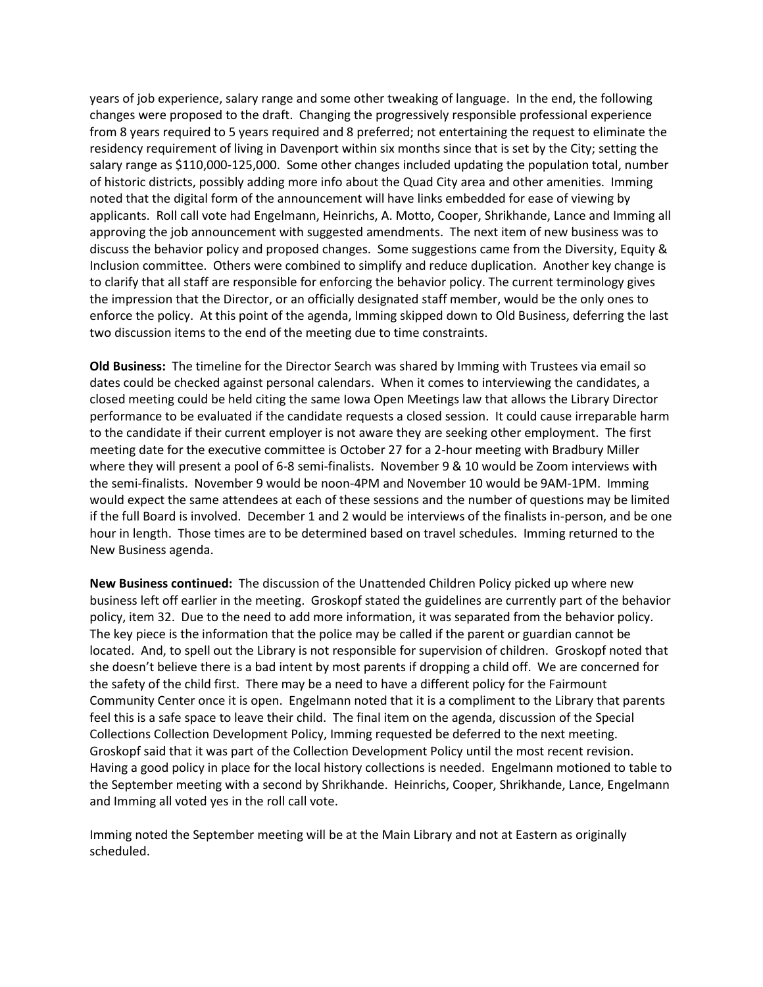years of job experience, salary range and some other tweaking of language. In the end, the following changes were proposed to the draft. Changing the progressively responsible professional experience from 8 years required to 5 years required and 8 preferred; not entertaining the request to eliminate the residency requirement of living in Davenport within six months since that is set by the City; setting the salary range as \$110,000-125,000. Some other changes included updating the population total, number of historic districts, possibly adding more info about the Quad City area and other amenities. Imming noted that the digital form of the announcement will have links embedded for ease of viewing by applicants. Roll call vote had Engelmann, Heinrichs, A. Motto, Cooper, Shrikhande, Lance and Imming all approving the job announcement with suggested amendments. The next item of new business was to discuss the behavior policy and proposed changes. Some suggestions came from the Diversity, Equity & Inclusion committee. Others were combined to simplify and reduce duplication. Another key change is to clarify that all staff are responsible for enforcing the behavior policy. The current terminology gives the impression that the Director, or an officially designated staff member, would be the only ones to enforce the policy. At this point of the agenda, Imming skipped down to Old Business, deferring the last two discussion items to the end of the meeting due to time constraints.

**Old Business:** The timeline for the Director Search was shared by Imming with Trustees via email so dates could be checked against personal calendars. When it comes to interviewing the candidates, a closed meeting could be held citing the same Iowa Open Meetings law that allows the Library Director performance to be evaluated if the candidate requests a closed session. It could cause irreparable harm to the candidate if their current employer is not aware they are seeking other employment. The first meeting date for the executive committee is October 27 for a 2-hour meeting with Bradbury Miller where they will present a pool of 6-8 semi-finalists. November 9 & 10 would be Zoom interviews with the semi-finalists. November 9 would be noon-4PM and November 10 would be 9AM-1PM. Imming would expect the same attendees at each of these sessions and the number of questions may be limited if the full Board is involved. December 1 and 2 would be interviews of the finalists in-person, and be one hour in length. Those times are to be determined based on travel schedules. Imming returned to the New Business agenda.

**New Business continued:** The discussion of the Unattended Children Policy picked up where new business left off earlier in the meeting. Groskopf stated the guidelines are currently part of the behavior policy, item 32. Due to the need to add more information, it was separated from the behavior policy. The key piece is the information that the police may be called if the parent or guardian cannot be located. And, to spell out the Library is not responsible for supervision of children. Groskopf noted that she doesn't believe there is a bad intent by most parents if dropping a child off. We are concerned for the safety of the child first. There may be a need to have a different policy for the Fairmount Community Center once it is open. Engelmann noted that it is a compliment to the Library that parents feel this is a safe space to leave their child. The final item on the agenda, discussion of the Special Collections Collection Development Policy, Imming requested be deferred to the next meeting. Groskopf said that it was part of the Collection Development Policy until the most recent revision. Having a good policy in place for the local history collections is needed. Engelmann motioned to table to the September meeting with a second by Shrikhande. Heinrichs, Cooper, Shrikhande, Lance, Engelmann and Imming all voted yes in the roll call vote.

Imming noted the September meeting will be at the Main Library and not at Eastern as originally scheduled.